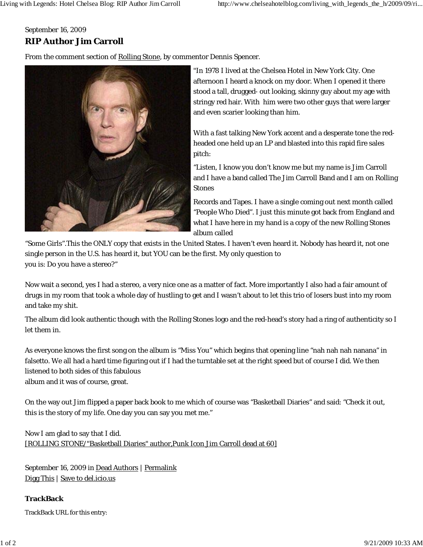## September 16, 2009 **RIP Author Jim Carroll**

From the comment section of Rolling Stone, by commentor Dennis Spencer.



"In 1978 I lived at the Chelsea Hotel in New York City. One afternoon I heard a knock on my door. When I opened it there stood a tall, drugged- out looking, skinny guy about my age with stringy red hair. With him were two other guys that were larger and even scarier looking than him.

With a fast talking New York accent and a desperate tone the redheaded one held up an LP and blasted into this rapid fire sales pitch:

"Listen, I know you don't know me but my name is Jim Carroll and I have a band called The Jim Carroll Band and I am on Rolling **Stones** 

Records and Tapes. I have a single coming out next month called "People Who Died". I just this minute got back from England and what I have here in my hand is a copy of the new Rolling Stones album called

"Some Girls".This the ONLY copy that exists in the United States. I haven't even heard it. Nobody has heard it, not one single person in the U.S. has heard it, but YOU can be the first. My only question to you is: Do you have a stereo?"

Now wait a second, yes I had a stereo, a very nice one as a matter of fact. More importantly I also had a fair amount of drugs in my room that took a whole day of hustling to get and I wasn't about to let this trio of losers bust into my room and take my shit.

The album did look authentic though with the Rolling Stones logo and the red-head's story had a ring of authenticity so I let them in.

As everyone knows the first song on the album is "Miss You" which begins that opening line "nah nah nah nanana" in falsetto. We all had a hard time figuring out if I had the turntable set at the right speed but of course I did. We then listened to both sides of this fabulous album and it was of course, great.

On the way out Jim flipped a paper back book to me which of course was "Basketball Diaries" and said: "Check it out, this is the story of my life. One day you can say you met me."

Now I am glad to say that I did. [ROLLING STONE/"Basketball Diaries" author,Punk Icon Jim Carroll dead at 60]

September 16, 2009 in Dead Authors | Permalink Digg This | Save to del.icio.us

**TrackBack** TrackBack URL for this entry: